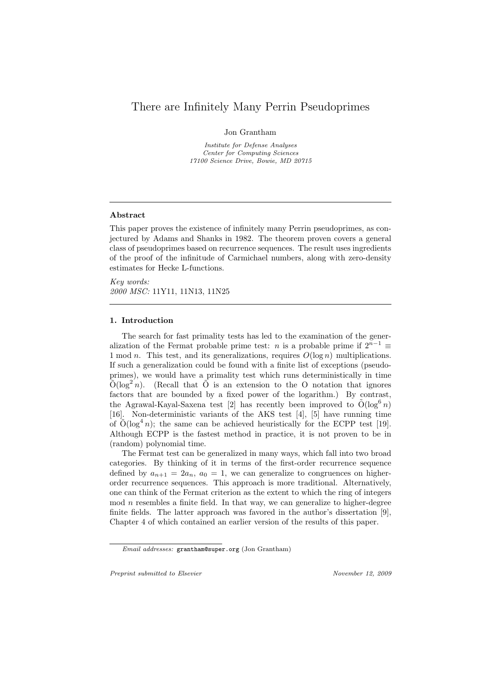# There are Infinitely Many Perrin Pseudoprimes

Jon Grantham

Institute for Defense Analyses Center for Computing Sciences 17100 Science Drive, Bowie, MD 20715

#### Abstract

This paper proves the existence of infinitely many Perrin pseudoprimes, as conjectured by Adams and Shanks in 1982. The theorem proven covers a general class of pseudoprimes based on recurrence sequences. The result uses ingredients of the proof of the infinitude of Carmichael numbers, along with zero-density estimates for Hecke L-functions.

Key words: 2000 MSC: 11Y11, 11N13, 11N25

## 1. Introduction

The search for fast primality tests has led to the examination of the generalization of the Fermat probable prime test: *n* is a probable prime if  $2^{n-1} \equiv$ 1 mod *n*. This test, and its generalizations, requires  $O(\log n)$  multiplications. If such a generalization could be found with a finite list of exceptions (pseudoprimes), we would have a primality test which runs deterministically in time  $\tilde{O}(\log^2 n)$ . (Recall that  $\tilde{O}$  is an extension to the O notation that ignores factors that are bounded by a fixed power of the logarithm.) By contrast, the Agrawal-Kayal-Saxena test [2] has recently been improved to  $\tilde{O}(\log^6 n)$ [16]. Non-deterministic variants of the AKS test [4], [5] have running time of  $\tilde{O}(\log^4 n)$ ; the same can be achieved heuristically for the ECPP test [19]. Although ECPP is the fastest method in practice, it is not proven to be in (random) polynomial time.

The Fermat test can be generalized in many ways, which fall into two broad categories. By thinking of it in terms of the first-order recurrence sequence defined by  $a_{n+1} = 2a_n$ ,  $a_0 = 1$ , we can generalize to congruences on higherorder recurrence sequences. This approach is more traditional. Alternatively, one can think of the Fermat criterion as the extent to which the ring of integers  $\mod n$  resembles a finite field. In that way, we can generalize to higher-degree finite fields. The latter approach was favored in the author's dissertation [9], Chapter 4 of which contained an earlier version of the results of this paper.

Preprint submitted to Elsevier November 12, 2009

Email addresses: grantham@super.org (Jon Grantham)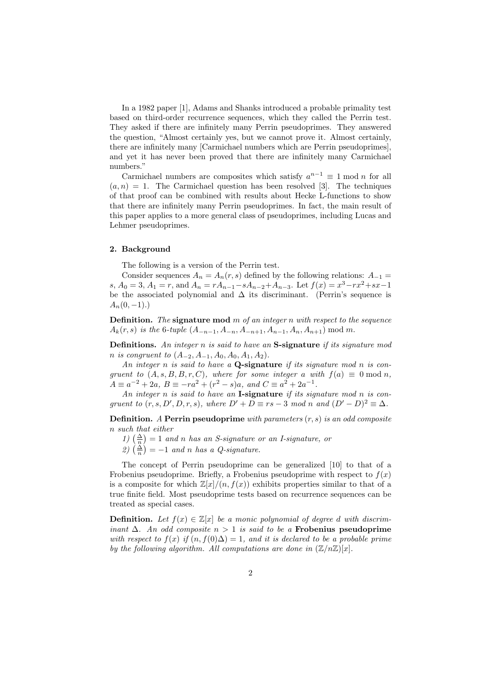In a 1982 paper [1], Adams and Shanks introduced a probable primality test based on third-order recurrence sequences, which they called the Perrin test. They asked if there are infinitely many Perrin pseudoprimes. They answered the question, "Almost certainly yes, but we cannot prove it. Almost certainly, there are infinitely many [Carmichael numbers which are Perrin pseudoprimes], and yet it has never been proved that there are infinitely many Carmichael numbers."

Carmichael numbers are composites which satisfy  $a^{n-1} \equiv 1 \mod n$  for all  $(a, n) = 1$ . The Carmichael question has been resolved [3]. The techniques of that proof can be combined with results about Hecke L-functions to show that there are infinitely many Perrin pseudoprimes. In fact, the main result of this paper applies to a more general class of pseudoprimes, including Lucas and Lehmer pseudoprimes.

#### 2. Background

The following is a version of the Perrin test.

Consider sequences  $A_n = A_n(r, s)$  defined by the following relations:  $A_{-1}$ s,  $A_0 = 3$ ,  $A_1 = r$ , and  $A_n = rA_{n-1} - sA_{n-2} + A_{n-3}$ . Let  $f(x) = x^3 - rx^2 + sx - 1$ be the associated polynomial and  $\Delta$  its discriminant. (Perrin's sequence is  $A_n(0,-1)$ .)

**Definition.** The signature mod  $m$  of an integer  $n$  with respect to the sequence  $A_k(r, s)$  is the 6-tuple  $(A_{-n-1}, A_{-n}, A_{-n+1}, A_{n-1}, A_n, A_{n+1}) \mod m$ .

Definitions. An integer n is said to have an S-signature if its signature mod n is congruent to  $(A_{-2}, A_{-1}, A_0, A_0, A_1, A_2)$ .

An integer  $n$  is said to have a **Q-signature** if its signature mod  $n$  is congruent to  $(A, s, B, B, r, C)$ , where for some integer a with  $f(a) \equiv 0 \bmod n$ ,  $A \equiv a^{-2} + 2a, B \equiv -ra^2 + (r^2 - s)a, and C \equiv a^2 + 2a^{-1}.$ 

An integer  $n$  is said to have an **I-signature** if its signature mod  $n$  is congruent to  $(r, s, D', D, r, s)$ , where  $D' + D \equiv rs - 3 \mod n$  and  $(D' - D)^2 \equiv \Delta$ .

**Definition.** A Perrin pseudoprime with parameters  $(r, s)$  is an odd composite n such that either

- 1)  $\left(\frac{\Delta}{n}\right) = 1$  and n has an S-signature or an I-signature, or
- 2)  $\left(\frac{\Delta}{n}\right) = -1$  and n has a Q-signature.

The concept of Perrin pseudoprime can be generalized [10] to that of a Frobenius pseudoprime. Briefly, a Frobenius pseudoprime with respect to  $f(x)$ is a composite for which  $\mathbb{Z}[x]/(n, f(x))$  exhibits properties similar to that of a true finite field. Most pseudoprime tests based on recurrence sequences can be treated as special cases.

**Definition.** Let  $f(x) \in \mathbb{Z}[x]$  be a monic polynomial of degree d with discriminant  $\Delta$ . An odd composite  $n > 1$  is said to be a Frobenius pseudoprime with respect to  $f(x)$  if  $(n, f(0)\Delta) = 1$ , and it is declared to be a probable prime by the following algorithm. All computations are done in  $(\mathbb{Z}/n\mathbb{Z})[x]$ .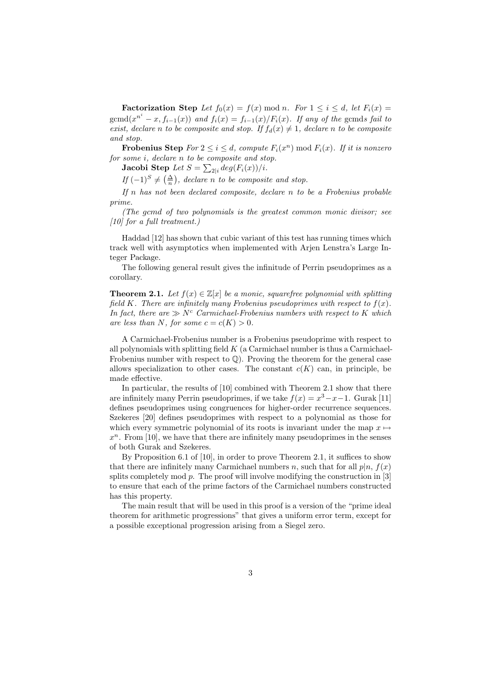**Factorization Step** Let  $f_0(x) = f(x) \text{ mod } n$ . For  $1 \leq i \leq d$ , let  $F_i(x) =$  $\operatorname{gcmd}(x^{n^{i}} - x, f_{i-1}(x))$  and  $f_{i}(x) = f_{i-1}(x)/F_{i}(x)$ . If any of the gcmds fail to exist, declare n to be composite and stop. If  $f_d(x) \neq 1$ , declare n to be composite and stop.

**Frobenius Step**  $For\ 2 \leq i \leq d$ , compute  $F_i(x^n) \mod F_i(x)$ . If it is nonzero for some i, declare n to be composite and stop.

Jacobi Step  $Let$   $S = \sum_{2|i} deg(F_i(x))/i.$ 

If  $(-1)^S \neq \left(\frac{\Delta}{n}\right)$ , declare n to be composite and stop.

If  $n$  has not been declared composite, declare  $n$  to be a Frobenius probable prime.

(The gcmd of two polynomials is the greatest common monic divisor; see [10] for a full treatment.)

Haddad [12] has shown that cubic variant of this test has running times which track well with asymptotics when implemented with Arjen Lenstra's Large Integer Package.

The following general result gives the infinitude of Perrin pseudoprimes as a corollary.

**Theorem 2.1.** Let  $f(x) \in \mathbb{Z}[x]$  be a monic, squarefree polynomial with splitting field K. There are infinitely many Frobenius pseudoprimes with respect to  $f(x)$ . In fact, there are  $\gg N^c$  Carmichael-Frobenius numbers with respect to K which are less than N, for some  $c = c(K) > 0$ .

A Carmichael-Frobenius number is a Frobenius pseudoprime with respect to all polynomials with splitting field  $K$  (a Carmichael number is thus a Carmichael-Frobenius number with respect to  $\mathbb{Q}$ . Proving the theorem for the general case allows specialization to other cases. The constant  $c(K)$  can, in principle, be made effective.

In particular, the results of [10] combined with Theorem 2.1 show that there are infinitely many Perrin pseudoprimes, if we take  $f(x) = x^3 - x - 1$ . Gurak [11] defines pseudoprimes using congruences for higher-order recurrence sequences. Szekeres [20] defines pseudoprimes with respect to a polynomial as those for which every symmetric polynomial of its roots is invariant under the map  $x \mapsto$  $x<sup>n</sup>$ . From [10], we have that there are infinitely many pseudoprimes in the senses of both Gurak and Szekeres.

By Proposition 6.1 of [10], in order to prove Theorem 2.1, it suffices to show that there are infinitely many Carmichael numbers n, such that for all  $p|n$ ,  $f(x)$ splits completely mod  $p$ . The proof will involve modifying the construction in  $[3]$ to ensure that each of the prime factors of the Carmichael numbers constructed has this property.

The main result that will be used in this proof is a version of the "prime ideal theorem for arithmetic progressions" that gives a uniform error term, except for a possible exceptional progression arising from a Siegel zero.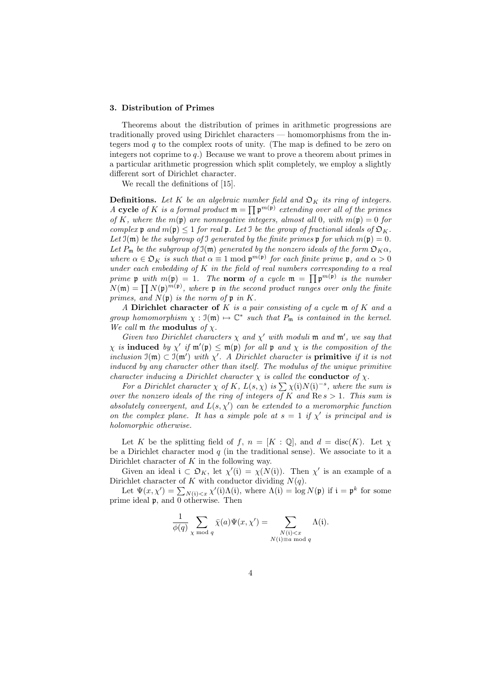#### 3. Distribution of Primes

Theorems about the distribution of primes in arithmetic progressions are traditionally proved using Dirichlet characters — homomorphisms from the integers mod  $q$  to the complex roots of unity. (The map is defined to be zero on integers not coprime to  $q$ .) Because we want to prove a theorem about primes in a particular arithmetic progression which split completely, we employ a slightly different sort of Dirichlet character.

We recall the definitions of [15].

**Definitions.** Let K be an algebraic number field and  $\mathfrak{O}_K$  its ring of integers. A cycle of K is a formal product  $\mathfrak{m} = \prod \mathfrak{p}^{m(\mathfrak{p})}$  extending over all of the primes of K, where the  $m(\mathfrak{p})$  are nonnegative integers, almost all 0, with  $m(\mathfrak{p}) = 0$  for complex p and  $m(\mathfrak{p}) \leq 1$  for real p. Let I be the group of fractional ideals of  $\mathfrak{O}_K$ . Let  $\mathfrak{I}(\mathfrak{m})$  be the subgroup of I generated by the finite primes  $\mathfrak{p}$  for which  $m(\mathfrak{p}) = 0$ . Let  $P_m$  be the subgroup of  $\mathfrak{I}(m)$  generated by the nonzero ideals of the form  $\mathfrak{O}_K \alpha$ , where  $\alpha \in \mathfrak{O}_K$  is such that  $\alpha \equiv 1 \mod \mathfrak{p}^{m(\mathfrak{p})}$  for each finite prime  $\mathfrak{p}$ , and  $\alpha > 0$ under each embedding of  $K$  in the field of real numbers corresponding to a real prime p with  $m(\mathfrak{p}) = 1$ . The norm of a cycle  $\mathfrak{m} = \prod \mathfrak{p}^{m(\mathfrak{p})}$  is the number  $N(\mathfrak{m}) = \prod N(\mathfrak{p})^{m(\mathfrak{p})}$ , where  $\mathfrak{p}$  in the second product ranges over only the finite primes, and  $N(\mathfrak{p})$  is the norm of  $\mathfrak{p}$  in K.

A Dirichlet character of  $K$  is a pair consisting of a cycle  $m$  of  $K$  and a group homomorphism  $\chi : \mathfrak{I}(\mathfrak{m}) \mapsto \mathbb{C}^*$  such that  $P_{\mathfrak{m}}$  is contained in the kernel. We call  $m$  the modulus of  $\chi$ .

Given two Dirichlet characters  $\chi$  and  $\chi'$  with moduli m and m', we say that  $\chi$  is induced by  $\chi'$  if  $\mathfrak{m}'(\mathfrak{p}) \leq \mathfrak{m}(\mathfrak{p})$  for all  $\mathfrak{p}$  and  $\chi$  is the composition of the inclusion  $\mathfrak{I}(\mathfrak{m}) \subset \mathfrak{I}(\mathfrak{m}')$  with  $\chi'$ . A Dirichlet character is **primitive** if it is not induced by any character other than itself. The modulus of the unique primitive character inducing a Dirichlet character  $\chi$  is called the **conductor** of  $\chi$ .

For a Dirichlet character  $\chi$  of K,  $L(s, \chi)$  is  $\sum \chi(i)N(i)^{-s}$ , where the sum is over the nonzero ideals of the ring of integers of K and  $\text{Re } s > 1$ . This sum is absolutely convergent, and  $L(s, \chi')$  can be extended to a meromorphic function on the complex plane. It has a simple pole at  $s = 1$  if  $\chi'$  is principal and is holomorphic otherwise.

Let K be the splitting field of f,  $n = [K : \mathbb{Q}]$ , and  $d = \text{disc}(K)$ . Let  $\chi$ be a Dirichlet character mod  $q$  (in the traditional sense). We associate to it a Dirichlet character of  $K$  in the following way.

Given an ideal  $i \subset \mathfrak{O}_K$ , let  $\chi'(\mathfrak{i}) = \chi(N(\mathfrak{i}))$ . Then  $\chi'$  is an example of a Dirichlet character of K with conductor dividing  $N(q)$ .

Let  $\Psi(x, \chi') = \sum_{N(i) < x} \chi'(i) \Lambda(i)$ , where  $\Lambda(i) = \log N(\mathfrak{p})$  if  $i = \mathfrak{p}^k$  for some prime ideal p, and 0 otherwise. Then

$$
\frac{1}{\phi(q)} \sum_{\chi \bmod q} \bar{\chi}(a) \Psi(x, \chi') = \sum_{\substack{N(\mathfrak{i}) < x \\ N(\mathfrak{i}) \equiv a \bmod q}} \Lambda(\mathfrak{i}).
$$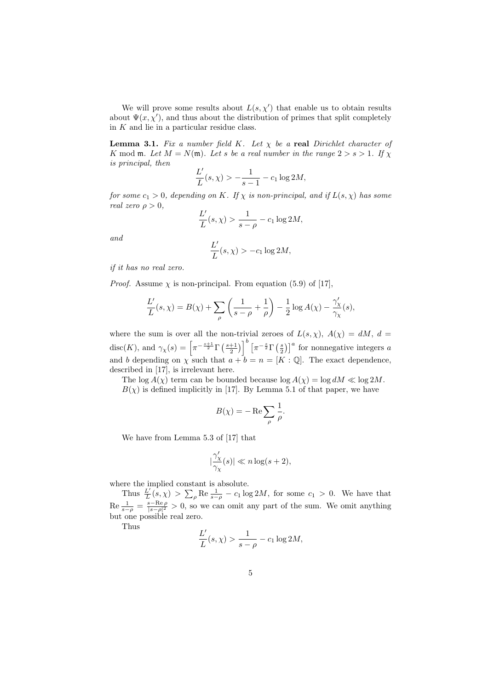We will prove some results about  $L(s, \chi')$  that enable us to obtain results about  $\Psi(x, \chi')$ , and thus about the distribution of primes that split completely in  $K$  and lie in a particular residue class.

**Lemma 3.1.** Fix a number field K. Let  $\chi$  be a real Dirichlet character of K mod **m**. Let  $M = N(\mathfrak{m})$ . Let s be a real number in the range  $2 > s > 1$ . If  $\chi$ is principal, then

$$
\frac{L'}{L}(s,\chi) > -\frac{1}{s-1} - c_1 \log 2M,
$$

for some  $c_1 > 0$ , depending on K. If  $\chi$  is non-principal, and if  $L(s, \chi)$  has some real zero  $\rho > 0$ ,

$$
\frac{L'}{L}(s,\chi) > \frac{1}{s-\rho} - c_1 \log 2M,
$$

and

$$
\frac{L'}{L}(s,\chi) > -c_1 \log 2M,
$$

if it has no real zero.

*Proof.* Assume  $\chi$  is non-principal. From equation (5.9) of [17],

$$
\frac{L'}{L}(s,\chi) = B(\chi) + \sum_{\rho} \left(\frac{1}{s-\rho} + \frac{1}{\rho}\right) - \frac{1}{2}\log A(\chi) - \frac{\gamma_{\chi}'}{\gamma_{\chi}}(s),
$$

where the sum is over all the non-trivial zeroes of  $L(s, \chi)$ ,  $A(\chi) = dM$ ,  $d =$  $\text{disc}(K)$ , and  $\gamma_\chi(s) = \left[\pi^{-\frac{s+1}{2}} \Gamma\left(\frac{s+1}{2}\right)\right]^b \left[\pi^{-\frac{s}{2}} \Gamma\left(\frac{s}{2}\right)\right]^a$  for nonnegative integers a and b depending on  $\chi$  such that  $a + b = n = [K : \mathbb{Q}]$ . The exact dependence, described in [17], is irrelevant here.

The log  $A(\chi)$  term can be bounded because  $\log A(\chi) = \log dM \ll \log 2M$ .

 $B(\chi)$  is defined implicitly in [17]. By Lemma 5.1 of that paper, we have

$$
B(\chi) = -\operatorname{Re}\sum_{\rho} \frac{1}{\rho}.
$$

We have from Lemma 5.3 of [17] that

$$
|\frac{\gamma'_\chi}{\gamma_\chi}(s)| \ll n \log(s+2),
$$

where the implied constant is absolute.

Thus  $\frac{L'}{L}$  $\frac{L'}{L}(s,\chi) > \sum_{\rho} \text{Re} \frac{1}{s-\rho} - c_1 \log 2M$ , for some  $c_1 > 0$ . We have that  $\text{Re} \frac{1}{s-\rho} = \frac{s-\text{Re}\,\rho}{|s-\rho|^2} > 0$ , so we can omit any part of the sum. We omit anything but one possible real zero.

Thus

$$
\frac{L'}{L}(s,\chi) > \frac{1}{s-\rho} - c_1 \log 2M,
$$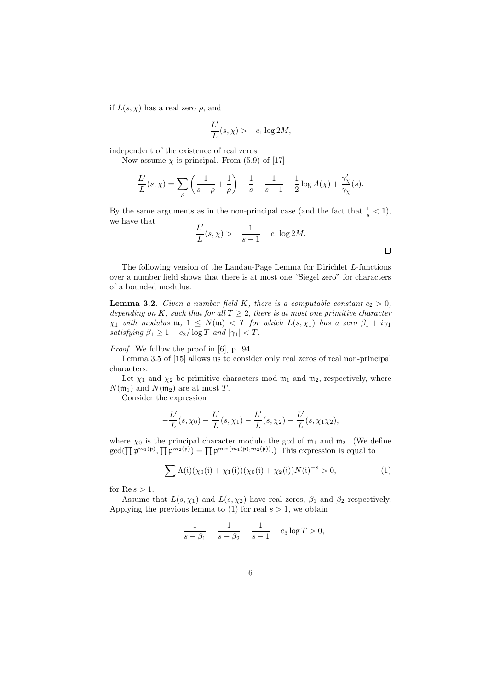if  $L(s, \chi)$  has a real zero  $\rho$ , and

$$
\frac{L'}{L}(s,\chi) > -c_1 \log 2M,
$$

independent of the existence of real zeros.

Now assume  $\chi$  is principal. From (5.9) of [17]

$$
\frac{L'}{L}(s,\chi) = \sum_{\rho} \left( \frac{1}{s-\rho} + \frac{1}{\rho} \right) - \frac{1}{s} - \frac{1}{s-1} - \frac{1}{2} \log A(\chi) + \frac{\gamma_{\chi}'}{\gamma_{\chi}}(s).
$$

By the same arguments as in the non-principal case (and the fact that  $\frac{1}{s} < 1$ ), we have that

$$
\frac{L'}{L}(s,\chi) > -\frac{1}{s-1} - c_1 \log 2M.
$$

The following version of the Landau-Page Lemma for Dirichlet L-functions over a number field shows that there is at most one "Siegel zero" for characters of a bounded modulus.

**Lemma 3.2.** Given a number field K, there is a computable constant  $c_2 > 0$ , depending on K, such that for all  $T \geq 2$ , there is at most one primitive character  $\chi_1$  with modulus  $\mathfrak{m}, 1 \leq N(\mathfrak{m}) < T$  for which  $L(s, \chi_1)$  has a zero  $\beta_1 + i\gamma_1$ satisfying  $\beta_1 \geq 1 - c_2/\log T$  and  $|\gamma_1| < T$ .

Proof. We follow the proof in [6], p. 94.

Lemma 3.5 of [15] allows us to consider only real zeros of real non-principal characters.

Let  $\chi_1$  and  $\chi_2$  be primitive characters mod  $\mathfrak{m}_1$  and  $\mathfrak{m}_2$ , respectively, where  $N(\mathfrak{m}_1)$  and  $N(\mathfrak{m}_2)$  are at most T.

Consider the expression

$$
-\frac{L'}{L}(s,\chi_0)-\frac{L'}{L}(s,\chi_1)-\frac{L'}{L}(s,\chi_2)-\frac{L'}{L}(s,\chi_1\chi_2),
$$

where  $\chi_0$  is the principal character modulo the gcd of  $\mathfrak{m}_1$  and  $\mathfrak{m}_2$ . (We define  $gcd(\prod \mathfrak{p}^{m_1(\mathfrak{p})}, \prod \mathfrak{p}^{m_2(\mathfrak{p})}) = \prod \mathfrak{p}^{min(m_1(\mathfrak{p}), m_2(\mathfrak{p}))}$ . This expression is equal to

$$
\sum \Lambda(i)(\chi_0(i) + \chi_1(i))(\chi_0(i) + \chi_2(i))N(i)^{-s} > 0,
$$
\n(1)

for  $\text{Re } s > 1$ .

Assume that  $L(s, \chi_1)$  and  $L(s, \chi_2)$  have real zeros,  $\beta_1$  and  $\beta_2$  respectively. Applying the previous lemma to (1) for real  $s > 1$ , we obtain

$$
-\frac{1}{s-\beta_1} - \frac{1}{s-\beta_2} + \frac{1}{s-1} + c_3 \log T > 0,
$$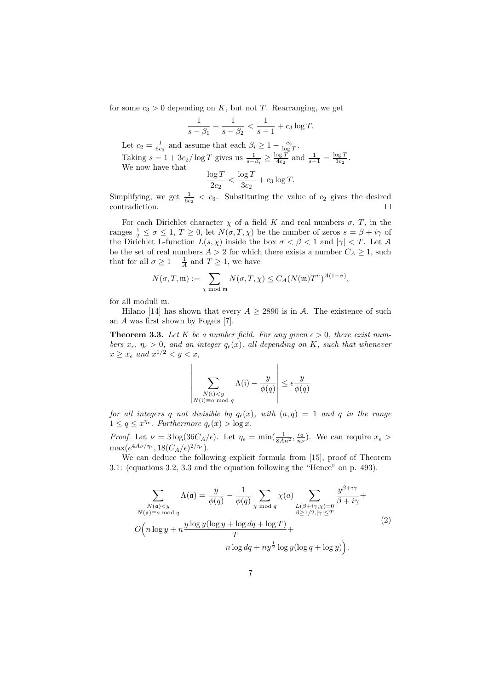for some  $c_3 > 0$  depending on K, but not T. Rearranging, we get

$$
\frac{1}{s-\beta_1} + \frac{1}{s-\beta_2} < \frac{1}{s-1} + c_3 \log T.
$$

Let  $c_2 = \frac{1}{6c_3}$  and assume that each  $\beta_i \geq 1 - \frac{c_2}{\log T}$ . Taking  $s = 1 + 3c_2/\log T$  gives us  $\frac{1}{s - \beta_i} \ge \frac{\log T}{4c_2}$  and  $\frac{1}{s - 1} = \frac{\log T}{3c_2}$ . We now have that  $\log T$  $\frac{\log T}{2c_2} < \frac{\log T}{3c_2}$  $\frac{c_8-}{3c_2}+c_3\log T.$ 

Simplifying, we get  $\frac{1}{6c_2} < c_3$ . Substituting the value of  $c_2$  gives the desired contradiction.  $\Box$ 

For each Dirichlet character  $\chi$  of a field K and real numbers  $\sigma$ , T, in the ranges  $\frac{1}{2} \le \sigma \le 1$ ,  $T \ge 0$ , let  $N(\sigma, T, \chi)$  be the number of zeros  $s = \beta + i\gamma$  of the Dirichlet L-function  $L(s, \chi)$  inside the box  $\sigma < \beta < 1$  and  $|\gamma| < T$ . Let A be the set of real numbers  $A > 2$  for which there exists a number  $C_A \geq 1$ , such that for all  $\sigma \geq 1 - \frac{1}{A}$  and  $T \geq 1$ , we have

$$
N(\sigma, T, \mathfrak{m}) := \sum_{\chi \bmod \mathfrak{m}} N(\sigma, T, \chi) \le C_A (N(\mathfrak{m}) T^n)^{A(1-\sigma)},
$$

for all moduli m.

Hilano [14] has shown that every  $A \geq 2890$  is in A. The existence of such an A was first shown by Fogels [7].

**Theorem 3.3.** Let K be a number field. For any given  $\epsilon > 0$ , there exist numbers  $x_{\epsilon}$ ,  $\eta_{\epsilon} > 0$ , and an integer  $q_{\epsilon}(x)$ , all depending on K, such that whenever  $x \geq x_{\epsilon}$  and  $x^{1/2} < y < x$ ,

$$
\left| \sum_{\substack{N(i) < y \\ N(i) \equiv a \bmod q}} \Lambda(i) - \frac{y}{\phi(q)} \right| \le \epsilon \frac{y}{\phi(q)}
$$

for all integers q not divisible by  $q_{\epsilon}(x)$ , with  $(a,q) = 1$  and q in the range  $1 \leq q \leq x^{\eta_{\epsilon}}$ . Furthermore  $q_{\epsilon}(x) > \log x$ .

*Proof.* Let  $\nu = 3 \log(36 C_A/\epsilon)$ . Let  $\eta_{\epsilon} = \min(\frac{1}{8An^2}, \frac{c_2}{n\nu})$ . We can require  $x_{\epsilon} >$  $\max(e^{4A\nu/\eta_\epsilon},18(C_A/\epsilon)^{2/\eta_\epsilon}).$ 

We can deduce the following explicit formula from [15], proof of Theorem 3.1: (equations 3.2, 3.3 and the equation following the "Hence" on p. 493).

$$
\sum_{\substack{N(\mathfrak{a}) \le y \\ N(\mathfrak{a}) \equiv a \bmod q}} \Lambda(\mathfrak{a}) = \frac{y}{\phi(q)} - \frac{1}{\phi(q)} \sum_{\chi \bmod q} \bar{\chi}(a) \sum_{\substack{L(\beta + i\gamma, \chi) = 0 \\ \beta \ge 1/2, |\gamma| \le T}} \frac{y^{\beta + i\gamma}}{\beta + i\gamma} + \frac{y \log y (\log y + \log dq + \log T)}{\beta} + \frac{y \log y (\log q + \log T)}{n \log dq + n y^{\frac{1}{2}} \log y (\log q + \log y)}.
$$
\n(2)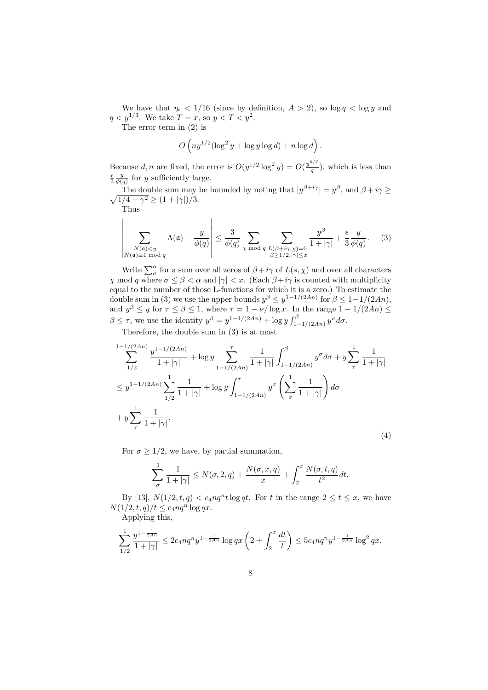We have that  $\eta_{\epsilon}$  < 1/16 (since by definition,  $A > 2$ ), so log  $q < \log y$  and  $q < y^{1/3}$ . We take  $T = x$ , so  $y < T < y^2$ .

The error term in (2) is

$$
O\left(ny^{1/2}(\log^2 y + \log y \log d) + n \log d\right).
$$

Because d, n are fixed, the error is  $O(y^{1/2} \log^2 y) = O(\frac{y^{6/7}}{a})$  $\frac{q}{q}$ ), which is less than  $\frac{\epsilon}{3} \frac{y}{\phi(q)}$  for y sufficiently large.

The double sum may be bounded by noting that  $|y^{\beta+i\gamma}| = y^{\beta}$  $\sqrt{ }$ , and  $\beta + i\gamma \geq$  $(1/4 + \gamma^2 \ge (1 + |\gamma|)/3).$ 

Thus

 $\bigg|$  $\overline{\phantom{a}}$  $\overline{\phantom{a}}$  $\overline{\phantom{a}}$  $\overline{\phantom{a}}$  $\overline{\phantom{a}}$  $\overline{\phantom{a}}$  $\vert$ 

$$
\sum_{\substack{N(\mathfrak{a}) < y \\ N(\mathfrak{a}) \equiv 1 \bmod q}} \Lambda(\mathfrak{a}) - \frac{y}{\phi(q)} \left| \le \frac{3}{\phi(q)} \sum_{\chi \bmod q} \sum_{\substack{L(\beta + i\gamma, \chi) = 0 \\ \beta \ge 1/2, |\gamma| \le x}} \frac{y^{\beta}}{1 + |\gamma|} + \frac{\epsilon}{3} \frac{y}{\phi(q)}. \tag{3}
$$

Write  $\sum_{\sigma}^{\alpha}$  for a sum over all zeros of  $\beta + i\gamma$  of  $L(s, \chi)$  and over all characters  $\chi \mod q$  where  $\sigma \leq \beta < \alpha$  and  $|\gamma| < x$ . (Each  $\beta + i\gamma$  is counted with multiplicity equal to the number of those L-functions for which it is a zero.) To estimate the double sum in (3) we use the upper bounds  $y^{\beta} \leq y^{1-1/(2An)}$  for  $\beta \leq 1-1/(2An)$ , and  $y^{\beta} \leq y$  for  $\tau \leq \beta \leq 1$ , where  $\tau = 1 - \nu/\log x$ . In the range  $1 - 1/(2An) \leq \tau$  $\beta \leq \tau$ , we use the identity  $y^{\beta} = y^{1-1/(2An)} + \log y \int_{1-1/(2An)}^{\beta} y^{\sigma} d\sigma$ .

Therefore, the double sum in (3) is at most

$$
\sum_{1/2}^{1-1/(2An)} \frac{y^{1-1/(2An)}}{1+|\gamma|} + \log y \sum_{1-1/(2An)}^{\tau} \frac{1}{1+|\gamma|} \int_{1-1/(2An)}^{\beta} y^{\sigma} d\sigma + y \sum_{\tau}^{1} \frac{1}{1+|\gamma|} \n\leq y^{1-1/(2An)} \sum_{1/2}^{1} \frac{1}{1+|\gamma|} + \log y \int_{1-1/(2An)}^{\tau} y^{\sigma} \left( \sum_{\sigma}^{1} \frac{1}{1+|\gamma|} \right) d\sigma \n+ y \sum_{\tau}^{1} \frac{1}{1+|\gamma|}.
$$
\n(4)

For  $\sigma \geq 1/2$ , we have, by partial summation,

$$
\sum_{\sigma} \frac{1}{1+|\gamma|} \le N(\sigma, 2, q) + \frac{N(\sigma, x, q)}{x} + \int_{2}^{x} \frac{N(\sigma, t, q)}{t^{2}} dt.
$$

By [13],  $N(1/2, t, q) < c_4 nq^nt \log qt$ . For t in the range  $2 \le t \le x$ , we have  $N(1/2, t, q)/t \leq c_4 nq^n \log qx.$ Applying this,

$$
\sum_{1/2}^1 \frac{y^{1-\frac{1}{2An}}}{1+|\gamma|} \le 2c_4 n q^n y^{1-\frac{1}{2An}} \log qx \left(2+\int_2^x \frac{dt}{t}\right) \le 5c_4 n q^n y^{1-\frac{1}{2An}} \log^2
$$

qx.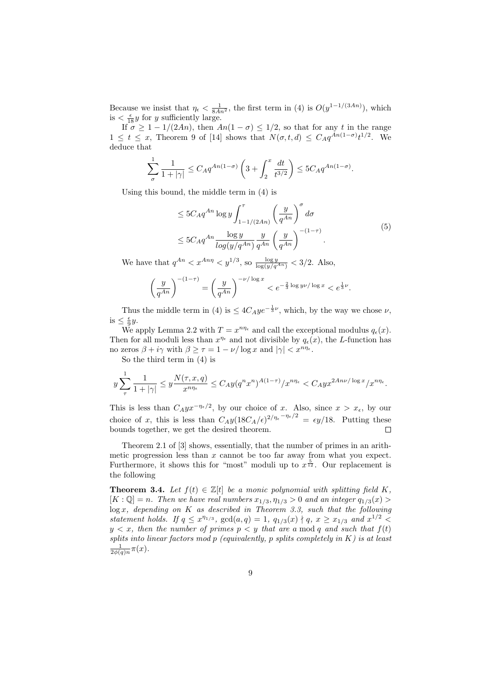Because we insist that  $\eta_{\epsilon} < \frac{1}{8An^2}$ , the first term in (4) is  $O(y^{1-1/(3An)})$ , which is  $\frac{\epsilon}{18}y$  for y sufficiently large.

If  $\sigma \geq 1 - 1/(2An)$ , then  $An(1 - \sigma) \leq 1/2$ , so that for any t in the range  $1 \leq t \leq x$ , Theorem 9 of [14] shows that  $N(\sigma, t, d) \leq C_A q^{An(1-\sigma)} t^{1/2}$ . We deduce that

$$
\sum_{\sigma} \frac{1}{1+|\gamma|} \le C_A q^{An(1-\sigma)} \left(3 + \int_2^x \frac{dt}{t^{3/2}} \right) \le 5C_A q^{An(1-\sigma)}.
$$

Using this bound, the middle term in (4) is

$$
\leq 5C_A q^{An} \log y \int_{1-1/(2An)}^{\tau} \left(\frac{y}{q^{An}}\right)^{\sigma} d\sigma
$$
  

$$
\leq 5C_A q^{An} \frac{\log y}{\log(y/q^{An})} \frac{y}{q^{An}} \left(\frac{y}{q^{An}}\right)^{-(1-\tau)}.
$$
 (5)

.

We have that  $q^{An} < x^{An\eta} < y^{1/3}$ , so  $\frac{\log y}{\log(y/q^{An})} < 3/2$ . Also,

$$
\left(\frac{y}{q^{An}}\right)^{-(1-\tau)} = \left(\frac{y}{q^{An}}\right)^{-\nu/\log x} < e^{-\frac{2}{3}\log y\nu/\log x} < e^{\frac{1}{3}\nu}
$$

Thus the middle term in (4) is  $\leq 4C_Aye^{-\frac{1}{3}\nu}$ , which, by the way we chose  $\nu$ , is  $\leq \frac{\epsilon}{9}y$ .

We apply Lemma 2.2 with  $T = x^{n\eta_{\epsilon}}$  and call the exceptional modulus  $q_{\epsilon}(x)$ . Then for all moduli less than  $x^{\eta_{\epsilon}}$  and not divisible by  $q_{\epsilon}(x)$ , the L-function has no zeros  $\beta + i\gamma$  with  $\beta \ge \tau = 1 - \nu/\log x$  and  $|\gamma| < x^{n\eta_{\epsilon}}$ .

So the third term in (4) is

$$
y\sum_{\tau}^1 \frac{1}{1+|\gamma|} \leq y\frac{N(\tau,x,q)}{x^{n\eta_{\epsilon}}} \leq C_A y (q^nx^n)^{A(1-\tau)}/x^{n\eta_{\epsilon}} < C_A y x^{2A n \nu/\log x}/x^{n\eta_{\epsilon}}.
$$

This is less than  $C_A y x^{-\eta_{\epsilon}/2}$ , by our choice of x. Also, since  $x > x_{\epsilon}$ , by our choice of x, this is less than  $C_A y (18C_A/\epsilon)^{2/\eta_{\epsilon} - \eta_{\epsilon}/2} = \epsilon y/18$ . Putting these bounds together, we get the desired theorem.  $\Box$ 

Theorem 2.1 of [3] shows, essentially, that the number of primes in an arithmetic progression less than  $x$  cannot be too far away from what you expect. Furthermore, it shows this for "most" moduli up to  $x^{\frac{5}{12}}$ . Our replacement is the following

**Theorem 3.4.** Let  $f(t) \in \mathbb{Z}[t]$  be a monic polynomial with splitting field K,  $[K : \mathbb{Q}] = n$ . Then we have real numbers  $x_{1/3}, \eta_{1/3} > 0$  and an integer  $q_{1/3}(x) >$  $\log x$ , depending on K as described in Theorem 3.3, such that the following statement holds. If  $q \leq x^{\eta_{1/3}}$ ,  $gcd(a,q) = 1$ ,  $q_{1/3}(x) \nmid q, x \geq x_{1/3}$  and  $x^{1/2} <$  $y < x$ , then the number of primes  $p < y$  that are a mod q and such that  $f(t)$ splits into linear factors mod  $p$  (equivalently,  $p$  splits completely in  $K$ ) is at least  $\frac{1}{2\phi(q)n}\pi(x)$ .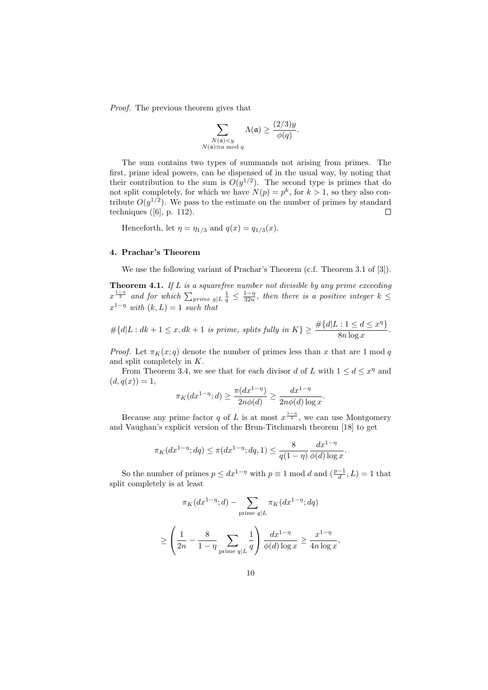Proof. The previous theorem gives that

$$
\sum_{\substack{N(\mathfrak{a}) < y \\ N(\mathfrak{a}) \equiv a \bmod q}} \Lambda(\mathfrak{a}) \ge \frac{(2/3)y}{\phi(q)}.
$$

The sum contains two types of summands not arising from primes. The first, prime ideal powers, can be dispensed of in the usual way, by noting that their contribution to the sum is  $O(y^{1/2})$ . The second type is primes that do not split completely, for which we have  $N(p) = p^k$ , for  $k > 1$ , so they also contribute  $O(y^{1/2})$ . We pass to the estimate on the number of primes by standard techniques  $([6], p. 112)$ .  $\Box$ 

Henceforth, let  $\eta = \eta_{1/3}$  and  $q(x) = q_{1/3}(x)$ .

#### 4. Prachar's Theorem

We use the following variant of Prachar's Theorem (c.f. Theorem 3.1 of [3]).

**Theorem 4.1.** If  $L$  is a squarefree number not divisible by any prime exceeding  $x^{\frac{1-\eta}{2}}$  and for which  $\sum_{prime}$   $\frac{1}{q} \leq \frac{1-\eta}{32n}$ , then there is a positive integer  $k \leq$  $x^{1-\eta}$  with  $(k, L) = 1$  such that

$$
\#\{d|L: dk+1 \le x, dk+1 \text{ is prime, splits fully in } K\} \ge \frac{\#\{d|L: 1 \le d \le x^{\eta}\}}{8n \log x}.
$$

*Proof.* Let  $\pi_K(x; q)$  denote the number of primes less than x that are 1 mod q and split completely in K.

From Theorem 3.4, we see that for each divisor d of L with  $1 \leq d \leq x^{\eta}$  and  $(d, q(x)) = 1,$ 

$$
\pi_K(dx^{1-\eta};d) \ge \frac{\pi(dx^{1-\eta})}{2n\phi(d)} \ge \frac{dx^{1-\eta}}{2n\phi(d)\log x}.
$$

Because any prime factor q of L is at most  $x^{\frac{1-\eta}{2}}$ , we can use Montgomery and Vaughan's explicit version of the Brun-Titchmarsh theorem [18] to get

$$
\pi_K(dx^{1-\eta};dq) \le \pi(dx^{1-\eta};dq,1) \le \frac{8}{q(1-\eta)} \frac{dx^{1-\eta}}{\phi(d)\log x}.
$$

So the number of primes  $p \leq dx^{1-\eta}$  with  $p \equiv 1 \mod d$  and  $\left(\frac{p-1}{d}, L\right) = 1$  that split completely is at least

$$
\pi_K(dx^{1-\eta};d) - \sum_{\text{prime } q \mid L} \pi_K(dx^{1-\eta};dq)
$$

$$
\geq \left(\frac{1}{2n} - \frac{8}{1-\eta} \sum_{\text{prime } q \mid L} \frac{1}{q}\right) \frac{dx^{1-\eta}}{\phi(d)\log x} \geq \frac{x^{1-\eta}}{4n\log x},
$$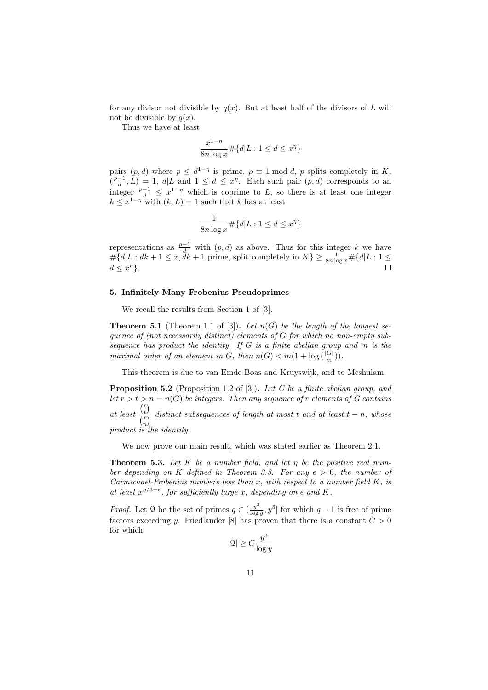for any divisor not divisible by  $q(x)$ . But at least half of the divisors of L will not be divisible by  $q(x)$ .

Thus we have at least

$$
\frac{x^{1-\eta}}{8n \log x} \# \{d | L : 1 \le d \le x^{\eta}\}
$$

pairs  $(p, d)$  where  $p \leq d^{1-\eta}$  is prime,  $p \equiv 1 \mod d$ , p splits completely in K,  $\left(\frac{p-1}{d}, L\right) = 1$ ,  $d | L$  and  $1 \leq d \leq x^{\eta}$ . Each such pair  $(p, d)$  corresponds to an integer  $\frac{p-1}{d} \leq x^{1-\eta}$  which is coprime to L, so there is at least one integer  $k \leq x^{1-\eta}$  with  $(k, L) = 1$  such that k has at least

$$
\frac{1}{8n\log x} \# \{d | L : 1 \le d \le x^{\eta}\}
$$

representations as  $\frac{p-1}{d}$  with  $(p, d)$  as above. Thus for this integer k we have  $\#\{d|L: dk+1 \leq x, \tilde{d}k+1 \text{ prime, split completely in } K\} \geq \frac{1}{8n \log x} \#\{d|L: 1 \leq$  $d \leq x^{\eta}$ .

# 5. Infinitely Many Frobenius Pseudoprimes

We recall the results from Section 1 of [3].

**Theorem 5.1** (Theorem 1.1 of [3]). Let  $n(G)$  be the length of the longest sequence of (not necessarily distinct) elements of G for which no non-empty subsequence has product the identity. If G is a finite abelian group and m is the maximal order of an element in G, then  $n(G) < m(1 + \log(\frac{|G|}{m}))$ .

This theorem is due to van Emde Boas and Kruyswijk, and to Meshulam.

**Proposition 5.2** (Proposition 1.2 of [3]). Let G be a finite abelian group, and let  $r > t > n = n(G)$  be integers. Then any sequence of r elements of G contains at least  $r \choose t$  $\frac{\partial t}{\partial t}$  distinct subsequences of length at most t and at least  $t - n$ , whose product is the identity.

We now prove our main result, which was stated earlier as Theorem 2.1.

**Theorem 5.3.** Let K be a number field, and let  $\eta$  be the positive real number depending on K defined in Theorem 3.3. For any  $\epsilon > 0$ , the number of Carmichael-Frobenius numbers less than  $x$ , with respect to a number field  $K$ , is at least  $x^{\eta/3-\epsilon}$ , for sufficiently large x, depending on  $\epsilon$  and K.

*Proof.* Let 2 be the set of primes  $q \in (\frac{y^3}{\log q})$  $\frac{y^3}{\log y}$ ,  $y^3$  for which  $q-1$  is free of prime factors exceeding y. Friedlander [8] has proven that there is a constant  $C > 0$ for which

$$
|\mathfrak{Q}|\geq C\frac{y^3}{\log y}
$$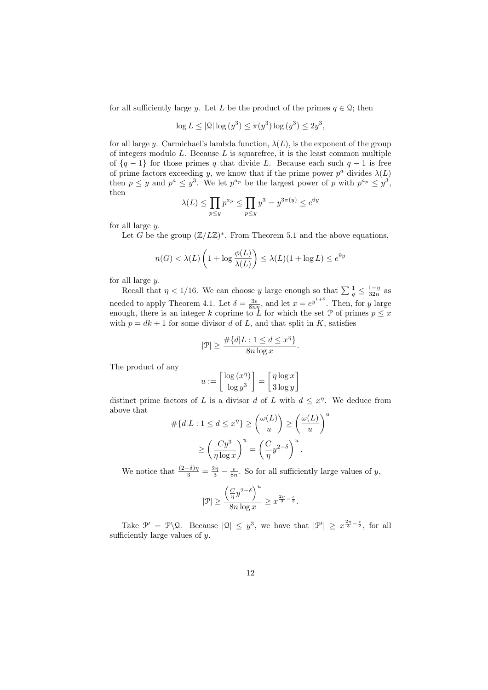for all sufficiently large y. Let L be the product of the primes  $q \in \mathcal{Q}$ ; then

$$
\log L \le |\mathcal{Q}| \log (y^3) \le \pi(y^3) \log (y^3) \le 2y^3,
$$

for all large y. Carmichael's lambda function,  $\lambda(L)$ , is the exponent of the group of integers modulo  $L$ . Because  $L$  is squarefree, it is the least common multiple of  $\{q-1\}$  for those primes q that divide L. Because each such  $q-1$  is free of prime factors exceeding y, we know that if the prime power  $p^a$  divides  $\lambda(L)$ then  $p \leq y$  and  $p^a \leq y^3$ . We let  $p^{a_p}$  be the largest power of p with  $p^{a_p} \leq y^3$ , then

$$
\lambda(L) \le \prod_{p \le y} p^{a_p} \le \prod_{p \le y} y^3 = y^{3\pi(y)} \le e^{6y}
$$

for all large  $y$ .

Let G be the group  $(\mathbb{Z}/L\mathbb{Z})^*$ . From Theorem 5.1 and the above equations,

$$
n(G) < \lambda(L) \left( 1 + \log \frac{\phi(L)}{\lambda(L)} \right) \le \lambda(L) (1 + \log L) \le e^{9y}
$$

for all large  $y$ .

Recall that  $\eta < 1/16$ . We can choose y large enough so that  $\sum \frac{1}{q} \leq \frac{1-\eta}{32n}$  as needed to apply Theorem 4.1. Let  $\delta = \frac{3\epsilon}{8n\eta}$ , and let  $x = e^{y^{1+\delta}}$ . Then, for y large enough, there is an integer k coprime to L for which the set P of primes  $p \leq x$ with  $p = dk + 1$  for some divisor d of L, and that split in K, satisfies

$$
|\mathcal{P}| \ge \frac{\#\{d|L: 1 \le d \le x^{\eta}\}}{8n \log x}.
$$

The product of any

$$
u := \left[\frac{\log(x^{\eta})}{\log y^3}\right] = \left[\frac{\eta \log x}{3 \log y}\right]
$$

distinct prime factors of L is a divisor d of L with  $d \leq x^{\eta}$ . We deduce from above that

$$
\# \{d | L : 1 \le d \le x^{\eta} \} \ge {\omega(L) \choose u} \ge {\omega(L) \choose u}^u
$$

$$
\ge {\left(\frac{C y^3}{\eta \log x}\right)}^u = {\left(\frac{C}{\eta} y^{2-\delta}\right)}^u.
$$

We notice that  $\frac{(2-\delta)\eta}{3} = \frac{2\eta}{3} - \frac{\epsilon}{8n}$ . So for all sufficiently large values of y,

$$
|\mathcal{P}| \geq \frac{\left(\frac{C}{\eta}y^{2-\delta}\right)^u}{8n\log x} \geq x^{\frac{2\eta}{3}-\frac{\epsilon}{3}}.
$$

Take  $\mathcal{P}' = \mathcal{P} \backslash \mathcal{Q}$ . Because  $|\mathcal{Q}| \leq y^3$ , we have that  $|\mathcal{P}'| \geq x^{\frac{2\eta}{3} - \frac{\epsilon}{2}}$ , for all sufficiently large values of  $y$ .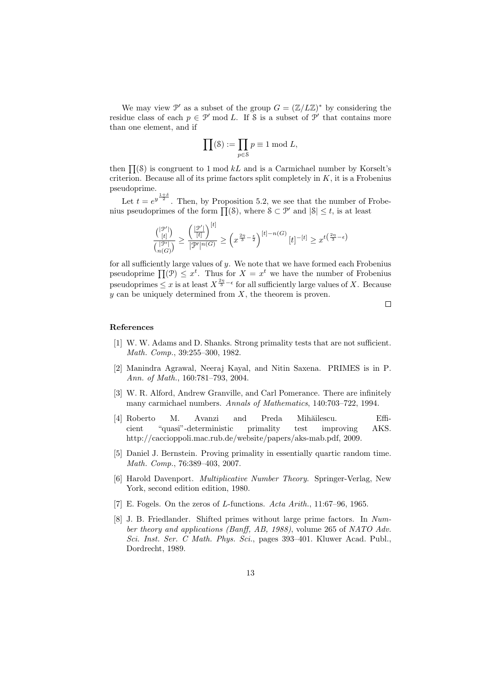We may view  $\mathcal{P}'$  as a subset of the group  $G = (\mathbb{Z}/L\mathbb{Z})^*$  by considering the residue class of each  $p \in \mathcal{P}'$  mod L. If S is a subset of  $\mathcal{P}'$  that contains more than one element, and if

$$
\prod(\mathbf{S}) := \prod_{p \in \mathbf{S}} p \equiv 1 \bmod L,
$$

then  $\Pi(8)$  is congruent to 1 mod kL and is a Carmichael number by Korselt's criterion. Because all of its prime factors split completely in  $K$ , it is a Frobenius pseudoprime.

Let  $t = e^{y^{\frac{1+\delta}{2}}}$ . Then, by Proposition 5.2, we see that the number of Frobenius pseudoprimes of the form  $\Pi(\mathcal{S})$ , where  $\mathcal{S} \subset \mathcal{P}'$  and  $|\mathcal{S}| \leq t$ , is at least

$$
\frac{\binom{|\mathcal{P}'|}{[t]}}{\binom{|\mathcal{P}'|}{n(G)}} \ge \frac{\left(\frac{|\mathcal{P}'|}{[t]}\right)^{[t]}}{|\mathcal{P}'|^{n(G)}} \ge \left(x^{\frac{2\eta}{3} - \frac{\epsilon}{2}}\right)^{[t] - n(G)}[t]^{-[t]} \ge x^{t\left(\frac{2\eta}{3} - \epsilon\right)}
$$

for all sufficiently large values of  $y$ . We note that we have formed each Frobenius pseudoprime  $\prod(\mathcal{P}) \leq x^t$ . Thus for  $X = x^t$  we have the number of Frobenius pseudoprimes  $\leq x$  is at least  $X^{\frac{2n}{3}-\epsilon}$  for all sufficiently large values of X. Because  $y$  can be uniquely determined from  $X$ , the theorem is proven.

 $\Box$ 

## References

- [1] W. W. Adams and D. Shanks. Strong primality tests that are not sufficient. Math. Comp., 39:255–300, 1982.
- [2] Manindra Agrawal, Neeraj Kayal, and Nitin Saxena. PRIMES is in P. Ann. of Math., 160:781–793, 2004.
- [3] W. R. Alford, Andrew Granville, and Carl Pomerance. There are infinitely many carmichael numbers. Annals of Mathematics, 140:703–722, 1994.
- [4] Roberto M. Avanzi and Preda Mihăilescu. Efficient "quasi"-deterministic primality test improving AKS. http://caccioppoli.mac.rub.de/website/papers/aks-mab.pdf, 2009.
- [5] Daniel J. Bernstein. Proving primality in essentially quartic random time. Math. Comp., 76:389–403, 2007.
- [6] Harold Davenport. Multiplicative Number Theory. Springer-Verlag, New York, second edition edition, 1980.
- [7] E. Fogels. On the zeros of L-functions. Acta Arith., 11:67–96, 1965.
- [8] J. B. Friedlander. Shifted primes without large prime factors. In Number theory and applications (Banff, AB, 1988), volume 265 of NATO Adv. Sci. Inst. Ser. C Math. Phys. Sci., pages 393–401. Kluwer Acad. Publ., Dordrecht, 1989.